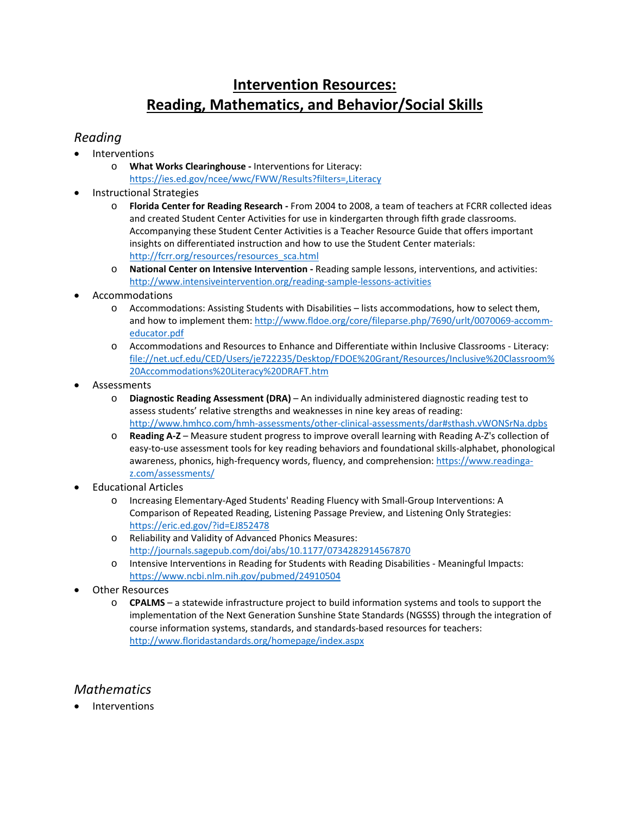# **Intervention Resources: Reading, Mathematics, and Behavior/Social Skills**

#### *Reading*

- **Interventions** 
	- o **What Works Clearinghouse -** Interventions for Literacy: <https://ies.ed.gov/ncee/wwc/FWW/Results?filters=,Literacy>
- Instructional Strategies
	- o **Florida Center for Reading Research -** From 2004 to 2008, a team of teachers at FCRR collected ideas and created Student Center Activities for use in kindergarten through fifth grade classrooms. Accompanying these Student Center Activities is a Teacher Resource Guide that offers important insights on differentiated instruction and how to use the Student Center materials: [http://fcrr.org/resources/resources\\_sca.html](http://fcrr.org/resources/resources_sca.html)
	- o **National Center on Intensive Intervention -** Reading sample lessons, interventions, and activities: <http://www.intensiveintervention.org/reading-sample-lessons-activities>
- **Accommodations** 
	- o Accommodations: Assisting Students with Disabilities lists accommodations, how to select them, and how to implement them[: http://www.fldoe.org/core/fileparse.php/7690/urlt/0070069-accomm](http://www.fldoe.org/core/fileparse.php/7690/urlt/0070069-accomm-educator.pdf)[educator.pdf](http://www.fldoe.org/core/fileparse.php/7690/urlt/0070069-accomm-educator.pdf)
	- o Accommodations and Resources to Enhance and Differentiate within Inclusive Classrooms Literacy: [file://net.ucf.edu/CED/Users/je722235/Desktop/FDOE%20Grant/Resources/Inclusive%20Classroom%](file://net.ucf.edu/CED/Users/je722235/Desktop/FDOE%20Grant/Resources/Inclusive%20Classroom%20Accommodations%20Literacy%20DRAFT.htm) [20Accommodations%20Literacy%20DRAFT.htm](file://net.ucf.edu/CED/Users/je722235/Desktop/FDOE%20Grant/Resources/Inclusive%20Classroom%20Accommodations%20Literacy%20DRAFT.htm)
- **Assessments** 
	- o **Diagnostic Reading Assessment (DRA)** An individually administered diagnostic reading test to assess students' relative strengths and weaknesses in nine key areas of reading: <http://www.hmhco.com/hmh-assessments/other-clinical-assessments/dar#sthash.vWONSrNa.dpbs>
	- o **Reading A-Z** Measure student progress to improve overall learning with Reading A-Z's collection of easy-to-use assessment tools for key reading behaviors and foundational skills-alphabet, phonological awareness, phonics, high-frequency words, fluency, and comprehension: [https://www.readinga](https://www.readinga-z.com/assessments/)[z.com/assessments/](https://www.readinga-z.com/assessments/)
- Educational Articles
	- o Increasing Elementary-Aged Students' Reading Fluency with Small-Group Interventions: A Comparison of Repeated Reading, Listening Passage Preview, and Listening Only Strategies: <https://eric.ed.gov/?id=EJ852478>
	- o Reliability and Validity of Advanced Phonics Measures: <http://journals.sagepub.com/doi/abs/10.1177/0734282914567870>
	- o Intensive Interventions in Reading for Students with Reading Disabilities Meaningful Impacts: <https://www.ncbi.nlm.nih.gov/pubmed/24910504>
- Other Resources
	- o **CPALMS** a statewide infrastructure project to build information systems and tools to support the implementation of the Next Generation Sunshine State Standards (NGSSS) through the integration of course information systems, standards, and standards-based resources for teachers: <http://www.floridastandards.org/homepage/index.aspx>

## *Mathematics*

**Interventions**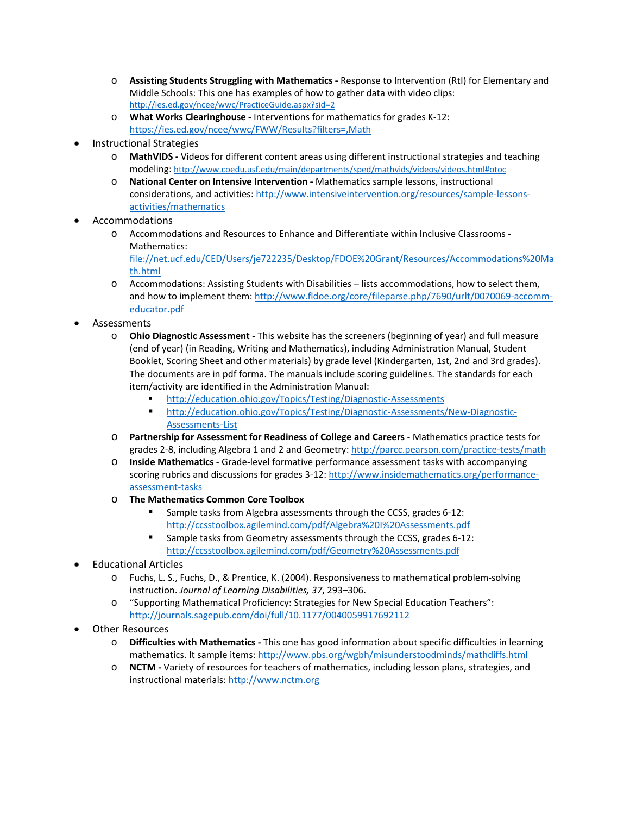- o **Assisting Students Struggling with Mathematics -** Response to Intervention (RtI) for Elementary and Middle Schools: This one has examples of how to gather data with video clips: <http://ies.ed.gov/ncee/wwc/PracticeGuide.aspx?sid=2>
- o **What Works Clearinghouse -** Interventions for mathematics for grades K-12: <https://ies.ed.gov/ncee/wwc/FWW/Results?filters=,Math>
- Instructional Strategies
	- o **MathVIDS -** Videos for different content areas using different instructional strategies and teaching modeling:<http://www.coedu.usf.edu/main/departments/sped/mathvids/videos/videos.html#otoc>
	- o **National Center on Intensive Intervention -** Mathematics sample lessons, instructional considerations, and activities: [http://www.intensiveintervention.org/resources/sample-lessons](http://www.intensiveintervention.org/resources/sample-lessons-activities/mathematics)[activities/mathematics](http://www.intensiveintervention.org/resources/sample-lessons-activities/mathematics)
- Accommodations
	- o Accommodations and Resources to Enhance and Differentiate within Inclusive Classrooms Mathematics:

[file://net.ucf.edu/CED/Users/je722235/Desktop/FDOE%20Grant/Resources/Accommodations%20Ma](file://net.ucf.edu/CED/Users/je722235/Desktop/FDOE%20Grant/Resources/Accommodations%20Math.html) [th.html](file://net.ucf.edu/CED/Users/je722235/Desktop/FDOE%20Grant/Resources/Accommodations%20Math.html)

- o Accommodations: Assisting Students with Disabilities lists accommodations, how to select them, and how to implement them[: http://www.fldoe.org/core/fileparse.php/7690/urlt/0070069-accomm](http://www.fldoe.org/core/fileparse.php/7690/urlt/0070069-accomm-educator.pdf)[educator.pdf](http://www.fldoe.org/core/fileparse.php/7690/urlt/0070069-accomm-educator.pdf)
- **Assessments** 
	- o **Ohio Diagnostic Assessment -** This website has the screeners (beginning of year) and full measure (end of year) (in Reading, Writing and Mathematics), including Administration Manual, Student Booklet, Scoring Sheet and other materials) by grade level (Kindergarten, 1st, 2nd and 3rd grades). The documents are in pdf forma. The manuals include scoring guidelines. The standards for each item/activity are identified in the Administration Manual:
		- <http://education.ohio.gov/Topics/Testing/Diagnostic-Assessments>
		- [http://education.ohio.gov/Topics/Testing/Diagnostic-Assessments/New-Diagnostic-](http://education.ohio.gov/Topics/Testing/Diagnostic-Assessments/New-Diagnostic-Assessments-List)[Assessments-List](http://education.ohio.gov/Topics/Testing/Diagnostic-Assessments/New-Diagnostic-Assessments-List)
	- o **Partnership for Assessment for Readiness of College and Careers** Mathematics practice tests for grades 2-8, including Algebra 1 and 2 and Geometry[: http://parcc.pearson.com/practice-tests/math](http://parcc.pearson.com/practice-tests/math)
	- o **Inside Mathematics** Grade-level formative performance assessment tasks with accompanying scoring rubrics and discussions for grades 3-12[: http://www.insidemathematics.org/performance](http://www.insidemathematics.org/performance-assessment-tasks)[assessment-tasks](http://www.insidemathematics.org/performance-assessment-tasks)
	- o **The Mathematics Common Core Toolbox**
		- Sample tasks from Algebra assessments through the CCSS, grades 6-12: <http://ccsstoolbox.agilemind.com/pdf/Algebra%20I%20Assessments.pdf>
		- Sample tasks from Geometry assessments through the CCSS, grades 6-12: <http://ccsstoolbox.agilemind.com/pdf/Geometry%20Assessments.pdf>
- Educational Articles
	- o Fuchs, L. S., Fuchs, D., & Prentice, K. (2004). Responsiveness to mathematical problem-solving instruction. *Journal of Learning Disabilities, 37*, 293–306.
	- o "Supporting Mathematical Proficiency: Strategies for New Special Education Teachers": <http://journals.sagepub.com/doi/full/10.1177/0040059917692112>
- Other Resources
	- o **Difficulties with Mathematics -** This one has good information about specific difficulties in learning mathematics. It sample items:<http://www.pbs.org/wgbh/misunderstoodminds/mathdiffs.html>
	- o **NCTM -** Variety of resources for teachers of mathematics, including lesson plans, strategies, and instructional materials: [http://www.nctm.org](http://www.nctm.org/)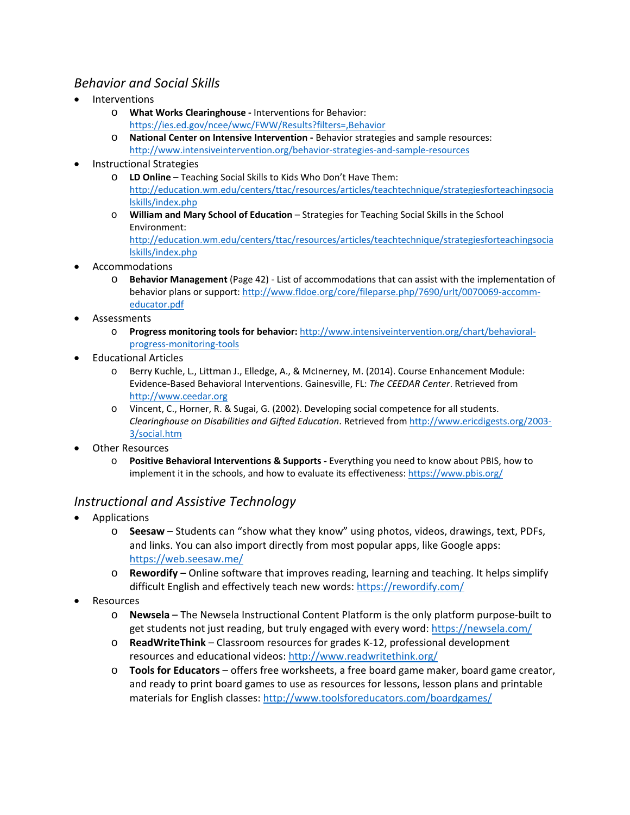#### *Behavior and Social Skills*

- **Interventions** 
	- o **What Works Clearinghouse -** Interventions for Behavior: <https://ies.ed.gov/ncee/wwc/FWW/Results?filters=,Behavior>
	- o **National Center on Intensive Intervention -** Behavior strategies and sample resources: <http://www.intensiveintervention.org/behavior-strategies-and-sample-resources>
- Instructional Strategies
	- o **LD Online** Teaching Social Skills to Kids Who Don't Have Them: [http://education.wm.edu/centers/ttac/resources/articles/teachtechnique/strategiesforteachingsocia](http://education.wm.edu/centers/ttac/resources/articles/teachtechnique/strategiesforteachingsocialskills/index.php) [lskills/index.php](http://education.wm.edu/centers/ttac/resources/articles/teachtechnique/strategiesforteachingsocialskills/index.php)
	- o **William and Mary School of Education** Strategies for Teaching Social Skills in the School Environment:

[http://education.wm.edu/centers/ttac/resources/articles/teachtechnique/strategiesforteachingsocia](http://education.wm.edu/centers/ttac/resources/articles/teachtechnique/strategiesforteachingsocialskills/index.php) [lskills/index.php](http://education.wm.edu/centers/ttac/resources/articles/teachtechnique/strategiesforteachingsocialskills/index.php)

- Accommodations
	- o **Behavior Management** (Page 42) List of accommodations that can assist with the implementation of behavior plans or support[: http://www.fldoe.org/core/fileparse.php/7690/urlt/0070069-accomm](http://www.fldoe.org/core/fileparse.php/7690/urlt/0070069-accomm-educator.pdf)[educator.pdf](http://www.fldoe.org/core/fileparse.php/7690/urlt/0070069-accomm-educator.pdf)
- **Assessments** 
	- o **Progress monitoring tools for behavior:** [http://www.intensiveintervention.org/chart/behavioral](http://www.intensiveintervention.org/chart/behavioral-progress-monitoring-tools)[progress-monitoring-tools](http://www.intensiveintervention.org/chart/behavioral-progress-monitoring-tools)
- Educational Articles
	- o Berry Kuchle, L., Littman J., Elledge, A., & McInerney, M. (2014). Course Enhancement Module: Evidence-Based Behavioral Interventions. Gainesville, FL: *The CEEDAR Center*. Retrieved from [http://www.ceedar.org](http://www.ceedar.org/)
	- o Vincent, C., Horner, R. & Sugai, G. (2002). Developing social competence for all students. *Clearinghouse on Disabilities and Gifted Education*. Retrieved from [http://www.ericdigests.org/2003-](http://www.ericdigests.org/2003-3/social.htm) [3/social.htm](http://www.ericdigests.org/2003-3/social.htm)
- Other Resources
	- o **Positive Behavioral Interventions & Supports -** Everything you need to know about PBIS, how to implement it in the schools, and how to evaluate its effectiveness:<https://www.pbis.org/>

#### *Instructional and Assistive Technology*

- Applications
	- o **Seesaw** Students can "show what they know" using photos, videos, drawings, text, PDFs, and links. You can also import directly from most popular apps, like Google apps: <https://web.seesaw.me/>
	- o **Rewordify** Online software that improves reading, learning and teaching. It helps simplify difficult English and effectively teach new words:<https://rewordify.com/>
- **Resources** 
	- o **Newsela** The Newsela Instructional Content Platform is the only platform purpose-built to get students not just reading, but truly engaged with every word[: https://newsela.com/](https://newsela.com/)
	- o **ReadWriteThink** Classroom resources for grades K-12, professional development resources and educational videos[: http://www.readwritethink.org/](http://www.readwritethink.org/)
	- o **Tools for Educators** offers free worksheets, a free board game maker, board game creator, and ready to print board games to use as resources for lessons, lesson plans and printable materials for English classes:<http://www.toolsforeducators.com/boardgames/>